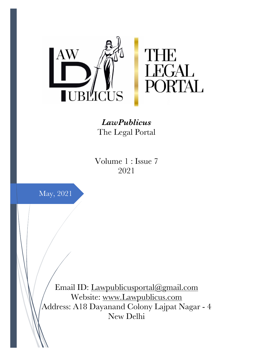

*LawPublicus* The Legal Portal

Volume 1 : Issue 7 2021



Email ID: Lawpublicusportal@gmail.com Website: www.Lawpublicus.com Address: A18 Dayanand Colony Lajpat Nagar - 4 New Delhi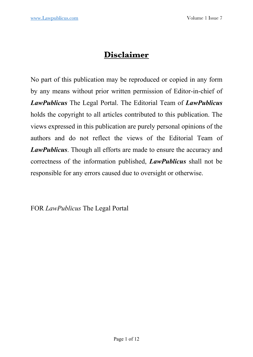# **Disclaimer**

No part of this publication may be reproduced or copied in any form by any means without prior written permission of Editor-in-chief of *LawPublicus* The Legal Portal. The Editorial Team of *LawPublicus* holds the copyright to all articles contributed to this publication. The views expressed in this publication are purely personal opinions of the authors and do not reflect the views of the Editorial Team of *LawPublicus*. Though all efforts are made to ensure the accuracy and correctness of the information published, *LawPublicus* shall not be responsible for any errors caused due to oversight or otherwise.

FOR *LawPublicus* The Legal Portal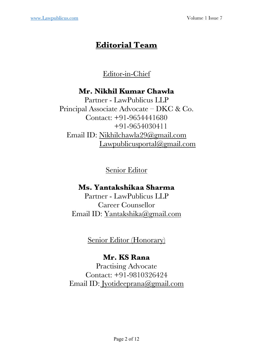# **Editorial Team**

# Editor-in-Chief

# **Mr. Nikhil Kumar Chawla**

Partner - LawPublicus LLP Principal Associate Advocate – DKC & Co. Contact: +91-9654441680 +91-9654030411 Email ID: Nikhilchawla29@gmail.com Lawpublicusportal@gmail.com

Senior Editor

# **Ms. Yantakshikaa Sharma**

Partner - LawPublicus LLP Career Counsellor Email ID: Yantakshika@gmail.com

Senior Editor (Honorary)

## **Mr. KS Rana**

Practising Advocate Contact: +91-9810326424 Email ID: Jyotideeprana@gmail.com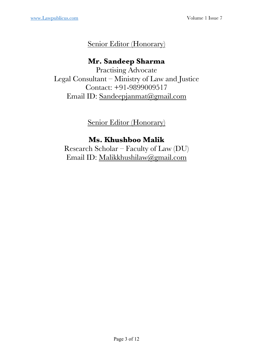# Senior Editor (Honorary)

# **Mr. Sandeep Sharma**

Practising Advocate Legal Consultant – Ministry of Law and Justice Contact: +91-9899009517 Email ID: Sandeepjanmat@gmail.com

Senior Editor (Honorary)

# **Ms. Khushboo Malik**

Research Scholar – Faculty of Law (DU) Email ID: Malikkhushilaw@gmail.com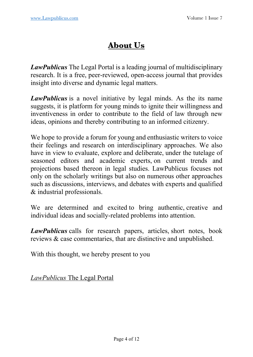# **About Us**

*LawPublicus* The Legal Portal is a leading journal of multidisciplinary research. It is a free, peer-reviewed, open-access journal that provides insight into diverse and dynamic legal matters.

*LawPublicus* is a novel initiative by legal minds. As the its name suggests, it is platform for young minds to ignite their willingness and inventiveness in order to contribute to the field of law through new ideas, opinions and thereby contributing to an informed citizenry.

We hope to provide a forum for young and enthusiastic writers to voice their feelings and research on interdisciplinary approaches. We also have in view to evaluate, explore and deliberate, under the tutelage of seasoned editors and academic experts, on current trends and projections based thereon in legal studies. LawPublicus focuses not only on the scholarly writings but also on numerous other approaches such as discussions, interviews, and debates with experts and qualified & industrial professionals.

We are determined and excited to bring authentic, creative and individual ideas and socially-related problems into attention.

*LawPublicus* calls for research papers, articles, short notes, book reviews & case commentaries, that are distinctive and unpublished.

With this thought, we hereby present to you

*LawPublicus* The Legal Portal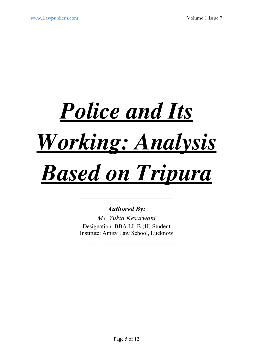# *Police and Its Working: Analysis Based on Tripura*

## *Authored By:*

*\_\_\_\_\_\_\_\_\_\_\_\_\_\_\_\_\_\_\_\_\_\_\_\_\_\_\_* 

*Ms. Yukta Kesarwani* Designation: BBA LL.B (H) Student Institute: Amity Law School, Lucknow

*\_\_\_\_\_\_\_\_\_\_\_\_\_\_\_\_\_\_\_\_\_\_\_\_\_\_\_\_\_\_*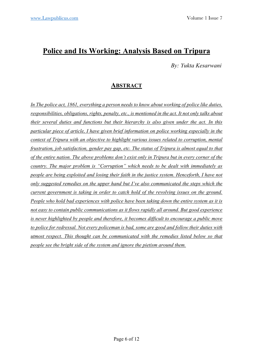# **Police and Its Working: Analysis Based on Tripura**

 *By: Yukta Kesarwani* 

#### **ABSTRACT**

*In The police act, 1861, everything a person needs to know about working of police like duties, responsibilities, obligations, rights, penalty, etc., is mentioned in the act. It not only talks about their several duties and functions but their hierarchy is also given under the act. In this particular piece of article, I have given brief information on police working especially in the context of Tripura with an objective to highlight various issues related to corruption, mental frustration, job satisfaction, gender pay gap, etc. The status of Tripura is almost equal to that of the entire nation. The above problems don't exist only in Tripura but in every corner of the country. The major problem is "Corruption" which needs to be dealt with immediately as people are being exploited and losing their faith in the justice system. Henceforth, I have not only suggested remedies on the upper hand but I've also communicated the steps which the current government is taking in order to catch hold of the revolving issues on the ground. People who hold bad experiences with police have been taking down the entire system as it is not easy to contain public communications as it flows rapidly all around. But good experience is never highlighted by people and therefore, it becomes difficult to encourage a public move to police for redressal. Not every policeman is bad, some are good and follow their duties with utmost respect. This thought can be communicated with the remedies listed below so that people see the bright side of the system and ignore the pietism around them.*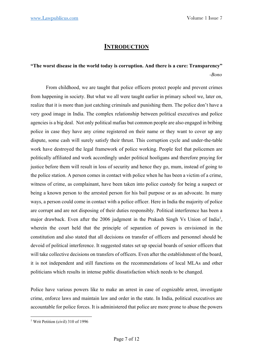#### **INTRODUCTION**

#### **"The worst disease in the world today is corruption. And there is a cure: Transparency"**  *-Bono*

From childhood, we are taught that police officers protect people and prevent crimes from happening in society. But what we all were taught earlier in primary school we, later on, realize that it is more than just catching criminals and punishing them. The police don't have a very good image in India. The complex relationship between political executives and police agencies is a big deal. Not only political mafias but common people are also engaged in bribing police in case they have any crime registered on their name or they want to cover up any dispute, some cash will surely satisfy their thrust. This corruption cycle and under-the-table work have destroyed the legal framework of police working. People feel that policemen are politically affiliated and work accordingly under political hooligans and therefore praying for justice before them will result in loss of security and hence they go, mum, instead of going to the police station. A person comes in contact with police when he has been a victim of a crime, witness of crime, as complainant, have been taken into police custody for being a suspect or being a known person to the arrested person for his bail purpose or as an advocate. In many ways, a person could come in contact with a police officer. Here in India the majority of police are corrupt and are not disposing of their duties responsibly. Political interference has been a major drawback. Even after the 2006 judgment in the Prakash Singh Vs Union of India<sup>1</sup>, wherein the court held that the principle of separation of powers is envisioned in the constitution and also stated that all decisions on transfer of officers and personnel should be devoid of political interference. It suggested states set up special boards of senior officers that will take collective decisions on transfers of officers. Even after the establishment of the board, it is not independent and still functions on the recommendations of local MLAs and other politicians which results in intense public dissatisfaction which needs to be changed.

Police have various powers like to make an arrest in case of cognizable arrest, investigate crime, enforce laws and maintain law and order in the state. In India, political executives are accountable for police forces. It is administered that police are more prone to abuse the powers

<sup>&</sup>lt;sup>1</sup> Writ Petition (civil) 310 of 1996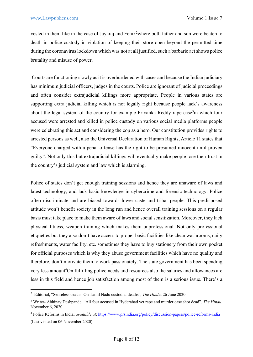vested in them like in the case of Jayaraj and Fenix<sup>2</sup> where both father and son were beaten to death in police custody in violation of keeping their store open beyond the permitted time during the coronavirus lockdown which was not at all justified, such a barbaric act shows police brutality and misuse of power.

Courts are functioning slowly as it is overburdened with cases and because the Indian judiciary has minimum judicial officers, judges in the courts. Police are ignorant of judicial proceedings and often consider extrajudicial killings more appropriate. People in various states are supporting extra judicial killing which is not legally right because people lack's awareness about the legal system of the country for example Priyanka Reddy rape case<sup>3</sup>in which four accused were arrested and killed in police custody on various social media platforms people were celebrating this act and considering the cop as a hero. Our constitution provides rights to arrested persons as well, also the Universal Declaration of Human Rights, Article 11 states that "Everyone charged with a penal offense has the right to be presumed innocent until proven guilty". Not only this but extrajudicial killings will eventually make people lose their trust in the country's judicial system and law which is alarming.

Police of states don't get enough training sessions and hence they are unaware of laws and latest technology, and lack basic knowledge in cybercrime and forensic technology. Police often discriminate and are biased towards lower caste and tribal people. This predisposed attitude won't benefit society in the long run and hence overall training sessions on a regular basis must take place to make them aware of laws and social sensitization. Moreover, they lack physical fitness, weapon training which makes them unprofessional. Not only professional etiquettes but they also don't have access to proper basic facilities like clean washrooms, daily refreshments, water facility, etc. sometimes they have to buy stationery from their own pocket for official purposes which is why they abuse government facilities which have no quality and therefore, don't motivate them to work passionately. The state government has been spending very less amount<sup>4</sup>On fulfilling police needs and resources also the salaries and allowances are less in this field and hence job satisfaction among most of them is a serious issue. There's a

<sup>2</sup> Editorial, "Senseless deaths: On Tamil Nadu custodial deaths", *The Hindu*, 26 June 2020

<sup>3</sup> Writer- Abhinay Deshpande, "All four accused in Hyderabad vet rape and murder case shot dead". *The Hindu*, November 6, 2020.

<sup>4</sup> Police Reforms in India, *available at*: https://www.prsindia.org/policy/discussion-papers/police-reforms-india (Last visited on 06 November 2020)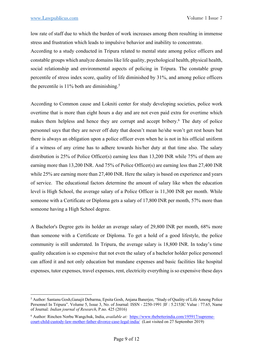low rate of staff due to which the burden of work increases among them resulting in immense stress and frustration which leads to impulsive behavior and inability to concentrate.

According to a study conducted in Tripura related to mental state among police officers and constable groups which analyze domains like life quality, psychological health, physical health, social relationship and environmental aspects of policing in Tripura. The constable group percentile of stress index score, quality of life diminished by 31%, and among police officers the percentile is  $11\%$  both are diminishing.<sup>5</sup>

According to Common cause and Lokniti center for study developing societies, police work overtime that is more than eight hours a day and are not even paid extra for overtime which makes them helpless and hence they are corrupt and accept bribery.<sup>6</sup> The duty of police personnel says that they are never off duty that doesn't mean he/she won't get rest hours but there is always an obligation upon a police officer even when he is not in his official uniform if a witness of any crime has to adhere towards his/her duty at that time also. The salary distribution is 25% of Police Officer(s) earning less than 13,200 INR while 75% of them are earning more than 13,200 INR. And 75% of Police Officer(s) are earning less than 27,400 INR while 25% are earning more than 27,400 INR. Here the salary is based on experience and years of service. The educational factors determine the amount of salary like when the education level is High School, the average salary of a Police Officer is 11,300 INR per month. While someone with a Certificate or Diploma gets a salary of 17,800 INR per month, 57% more than someone having a High School degree.

A Bachelor's Degree gets its holder an average salary of 29,800 INR per month, 68% more than someone with a Certificate or Diploma. To get a hold of a good lifestyle, the police community is still underrated. In Tripura, the average salary is 18,800 INR. In today's time quality education is so expensive that not even the salary of a bachelor holder police personnel can afford it and not only education but mundane expenses and basic facilities like hospital expenses, tutor expenses, travel expenses, rent, electricity everything is so expensive these days

<sup>5</sup> Author: Santanu Gosh,Ganajit Debarma, Epsita Gosh, Anjana Banerjee, "Study of Quality of Life Among Police Personnel In Tripura". Volume 5, Issue 3, No. of Journal: ISSN - 2250-1991 |IF : 5.215|IC Value : 77.65, Name of Journal*: Indian journal of Research*, P.no. 425 (2016)

<sup>6</sup> Author: Rinchen Norbu Wangchuk, India, *available at:* https://www.thebetterindia.com/195917/supremecourt-child-custody-law-mother-father-divorce-case-legal-india/ (Last visited on 27 September 2019)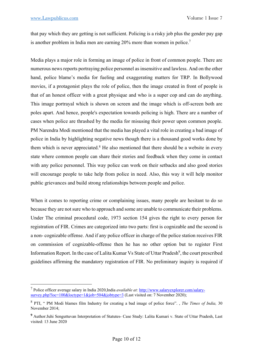that pay which they are getting is not sufficient. Policing is a risky job plus the gender pay gap is another problem in India men are earning 20% more than women in police.7

Media plays a major role in forming an image of police in front of common people. There are numerous news reports portraying police personnel as insensitive and lawless. And on the other hand, police blame's media for fueling and exaggerating matters for TRP. In Bollywood movies, if a protagonist plays the role of police, then the image created in front of people is that of an honest officer with a great physique and who is a super cop and can do anything. This image portrayal which is shown on screen and the image which is off-screen both are poles apart. And hence, people's expectation towards policing is high. There are a number of cases when police are thrashed by the media for misusing their power upon common people. PM Narendra Modi mentioned that the media has played a vital role in creating a bad image of police in India by highlighting negative news though there is a thousand good works done by them which is never appreciated. $8$  He also mentioned that there should be a website in every state where common people can share their stories and feedback when they come in contact with any police personnel. This way police can work on their setbacks and also good stories will encourage people to take help from police in need. Also, this way it will help monitor public grievances and build strong relationships between people and police.

When it comes to reporting crime or complaining issues, many people are hesitant to do so because they are not sure who to approach and some are unable to communicate their problems. Under The criminal procedural code, 1973 section 154 gives the right to every person for registration of FIR. Crimes are categorized into two parts: first is cognizable and the second is a non- cognizable offense. And if any police officer in charge of the police station receives FIR on commission of cognizable-offense then he has no other option but to register First Information Report. In the case of Lalita Kumar Vs State of Uttar Pradesh<sup>9</sup>, the court prescribed guidelines affirming the mandatory registration of FIR. No preliminary inquiry is required if

<sup>7</sup> Police officer average salary in India 2020,India *available at:* http://www.salaryexplorer.com/salarysurvey.php?loc=100&loctype=1&job=504&jobtype=3 (Last visited on: 7 November 2020);

<sup>8</sup> PTI, " PM Modi blames film Industry for creating a bad image of police force". , *The Times of India,* 30 November 2014;

**<sup>9</sup>** Author:Juhi Senguttuvan Interpretation of Statutes- Case Study: Lalita Kumari v. State of Uttar Pradesh, Last visited: 13 June 2020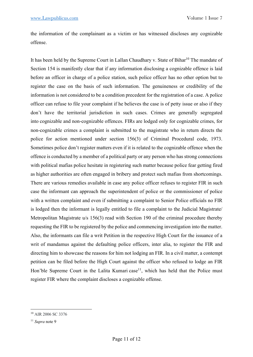the information of the complainant as a victim or has witnessed discloses any cognizable offense.

It has been held by the Supreme Court in Lallan Chaudhary v. State of Bihar<sup>10</sup> The mandate of Section 154 is manifestly clear that if any information disclosing a cognizable offence is laid before an officer in charge of a police station, such police officer has no other option but to register the case on the basis of such information. The genuineness or credibility of the information is not considered to be a condition precedent for the registration of a case. A police officer can refuse to file your complaint if he believes the case is of petty issue or also if they don't have the territorial jurisdiction in such cases. Crimes are generally segregated into cognizable and non-cognizable offences. FIRs are lodged only for cognizable crimes, for non-cognizable crimes a complaint is submitted to the magistrate who in return directs the police for action mentioned under section 156(3) of Criminal Procedural code, 1973. Sometimes police don't register matters even if it is related to the cognizable offence when the offence is conducted by a member of a political party or any person who has strong connections with political mafias police hesitate in registering such matter because police fear getting fired as higher authorities are often engaged in bribery and protect such mafias from shortcomings. There are various remedies available in case any police officer refuses to register FIR in such case the informant can approach the superintendent of police or the commissioner of police with a written complaint and even if submitting a complaint to Senior Police officials no FIR is lodged then the informant is legally entitled to file a complaint to the Judicial Magistrate/ Metropolitan Magistrate u/s 156(3) read with Section 190 of the criminal procedure thereby requesting the FIR to be registered by the police and commencing investigation into the matter. Also, the informants can file a writ Petition in the respective High Court for the issuance of a writ of mandamus against the defaulting police officers, inter alia, to register the FIR and directing him to showcase the reasons for him not lodging an FIR. In a civil matter, a contempt petition can be filed before the High Court against the officer who refused to lodge an FIR Hon'ble Supreme Court in the Lalita Kumari case<sup>11</sup>, which has held that the Police must register FIR where the complaint discloses a cognizable offense.

<sup>10</sup> AIR 2006 SC 3376

<sup>11</sup> *Supra* note 9